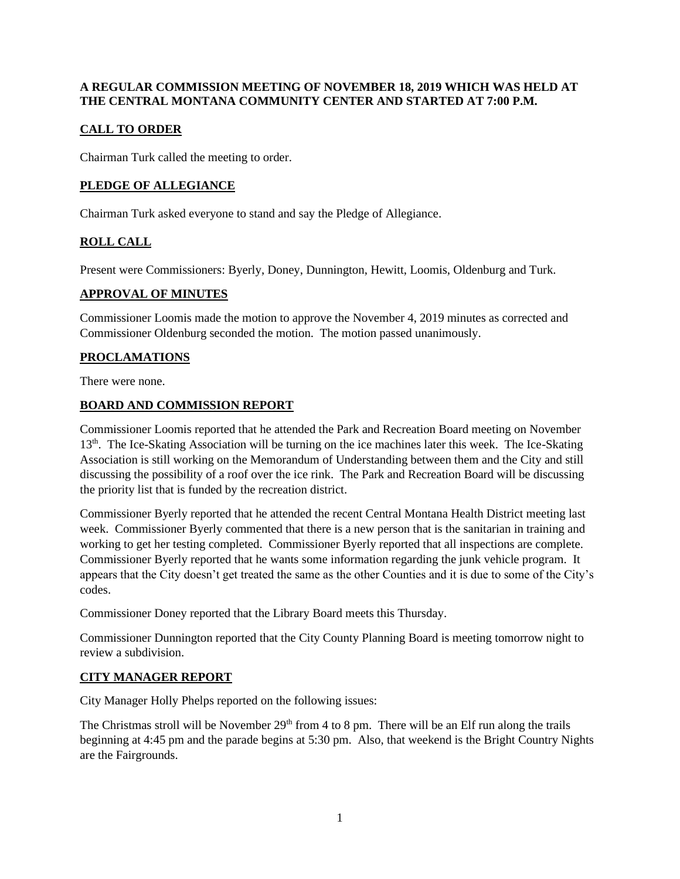## **A REGULAR COMMISSION MEETING OF NOVEMBER 18, 2019 WHICH WAS HELD AT THE CENTRAL MONTANA COMMUNITY CENTER AND STARTED AT 7:00 P.M.**

# **CALL TO ORDER**

Chairman Turk called the meeting to order.

# **PLEDGE OF ALLEGIANCE**

Chairman Turk asked everyone to stand and say the Pledge of Allegiance.

# **ROLL CALL**

Present were Commissioners: Byerly, Doney, Dunnington, Hewitt, Loomis, Oldenburg and Turk.

## **APPROVAL OF MINUTES**

Commissioner Loomis made the motion to approve the November 4, 2019 minutes as corrected and Commissioner Oldenburg seconded the motion. The motion passed unanimously.

# **PROCLAMATIONS**

There were none.

## **BOARD AND COMMISSION REPORT**

Commissioner Loomis reported that he attended the Park and Recreation Board meeting on November 13<sup>th</sup>. The Ice-Skating Association will be turning on the ice machines later this week. The Ice-Skating Association is still working on the Memorandum of Understanding between them and the City and still discussing the possibility of a roof over the ice rink. The Park and Recreation Board will be discussing the priority list that is funded by the recreation district.

Commissioner Byerly reported that he attended the recent Central Montana Health District meeting last week. Commissioner Byerly commented that there is a new person that is the sanitarian in training and working to get her testing completed. Commissioner Byerly reported that all inspections are complete. Commissioner Byerly reported that he wants some information regarding the junk vehicle program. It appears that the City doesn't get treated the same as the other Counties and it is due to some of the City's codes.

Commissioner Doney reported that the Library Board meets this Thursday.

Commissioner Dunnington reported that the City County Planning Board is meeting tomorrow night to review a subdivision.

# **CITY MANAGER REPORT**

City Manager Holly Phelps reported on the following issues:

The Christmas stroll will be November  $29<sup>th</sup>$  from 4 to 8 pm. There will be an Elf run along the trails beginning at 4:45 pm and the parade begins at 5:30 pm. Also, that weekend is the Bright Country Nights are the Fairgrounds.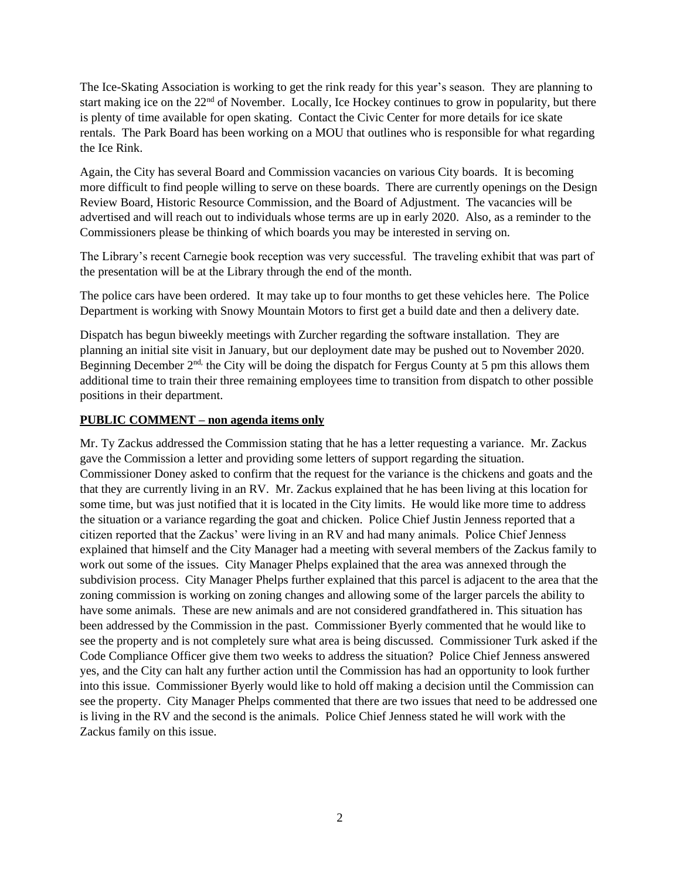The Ice-Skating Association is working to get the rink ready for this year's season. They are planning to start making ice on the 22<sup>nd</sup> of November. Locally, Ice Hockey continues to grow in popularity, but there is plenty of time available for open skating. Contact the Civic Center for more details for ice skate rentals. The Park Board has been working on a MOU that outlines who is responsible for what regarding the Ice Rink.

Again, the City has several Board and Commission vacancies on various City boards. It is becoming more difficult to find people willing to serve on these boards. There are currently openings on the Design Review Board, Historic Resource Commission, and the Board of Adjustment. The vacancies will be advertised and will reach out to individuals whose terms are up in early 2020. Also, as a reminder to the Commissioners please be thinking of which boards you may be interested in serving on.

The Library's recent Carnegie book reception was very successful. The traveling exhibit that was part of the presentation will be at the Library through the end of the month.

The police cars have been ordered. It may take up to four months to get these vehicles here. The Police Department is working with Snowy Mountain Motors to first get a build date and then a delivery date.

Dispatch has begun biweekly meetings with Zurcher regarding the software installation. They are planning an initial site visit in January, but our deployment date may be pushed out to November 2020. Beginning December 2<sup>nd,</sup> the City will be doing the dispatch for Fergus County at 5 pm this allows them additional time to train their three remaining employees time to transition from dispatch to other possible positions in their department.

#### **PUBLIC COMMENT – non agenda items only**

Mr. Ty Zackus addressed the Commission stating that he has a letter requesting a variance. Mr. Zackus gave the Commission a letter and providing some letters of support regarding the situation. Commissioner Doney asked to confirm that the request for the variance is the chickens and goats and the that they are currently living in an RV. Mr. Zackus explained that he has been living at this location for some time, but was just notified that it is located in the City limits. He would like more time to address the situation or a variance regarding the goat and chicken. Police Chief Justin Jenness reported that a citizen reported that the Zackus' were living in an RV and had many animals. Police Chief Jenness explained that himself and the City Manager had a meeting with several members of the Zackus family to work out some of the issues. City Manager Phelps explained that the area was annexed through the subdivision process. City Manager Phelps further explained that this parcel is adjacent to the area that the zoning commission is working on zoning changes and allowing some of the larger parcels the ability to have some animals. These are new animals and are not considered grandfathered in. This situation has been addressed by the Commission in the past. Commissioner Byerly commented that he would like to see the property and is not completely sure what area is being discussed. Commissioner Turk asked if the Code Compliance Officer give them two weeks to address the situation? Police Chief Jenness answered yes, and the City can halt any further action until the Commission has had an opportunity to look further into this issue. Commissioner Byerly would like to hold off making a decision until the Commission can see the property. City Manager Phelps commented that there are two issues that need to be addressed one is living in the RV and the second is the animals. Police Chief Jenness stated he will work with the Zackus family on this issue.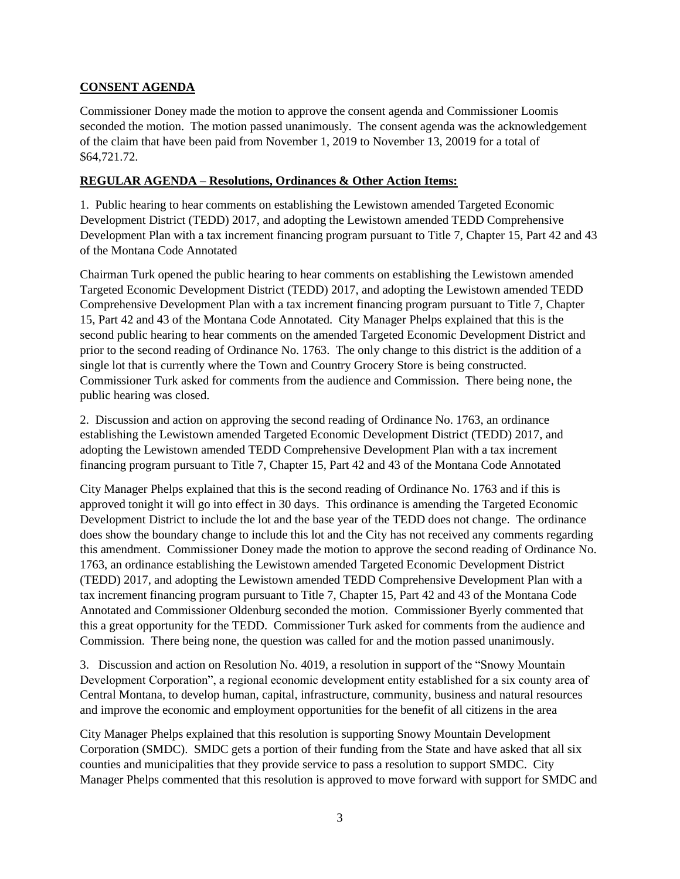# **CONSENT AGENDA**

Commissioner Doney made the motion to approve the consent agenda and Commissioner Loomis seconded the motion. The motion passed unanimously. The consent agenda was the acknowledgement of the claim that have been paid from November 1, 2019 to November 13, 20019 for a total of \$64,721.72.

## **REGULAR AGENDA – Resolutions, Ordinances & Other Action Items:**

1. Public hearing to hear comments on establishing the Lewistown amended Targeted Economic Development District (TEDD) 2017, and adopting the Lewistown amended TEDD Comprehensive Development Plan with a tax increment financing program pursuant to Title 7, Chapter 15, Part 42 and 43 of the Montana Code Annotated

Chairman Turk opened the public hearing to hear comments on establishing the Lewistown amended Targeted Economic Development District (TEDD) 2017, and adopting the Lewistown amended TEDD Comprehensive Development Plan with a tax increment financing program pursuant to Title 7, Chapter 15, Part 42 and 43 of the Montana Code Annotated. City Manager Phelps explained that this is the second public hearing to hear comments on the amended Targeted Economic Development District and prior to the second reading of Ordinance No. 1763. The only change to this district is the addition of a single lot that is currently where the Town and Country Grocery Store is being constructed. Commissioner Turk asked for comments from the audience and Commission. There being none, the public hearing was closed.

2. Discussion and action on approving the second reading of Ordinance No. 1763, an ordinance establishing the Lewistown amended Targeted Economic Development District (TEDD) 2017, and adopting the Lewistown amended TEDD Comprehensive Development Plan with a tax increment financing program pursuant to Title 7, Chapter 15, Part 42 and 43 of the Montana Code Annotated

City Manager Phelps explained that this is the second reading of Ordinance No. 1763 and if this is approved tonight it will go into effect in 30 days. This ordinance is amending the Targeted Economic Development District to include the lot and the base year of the TEDD does not change. The ordinance does show the boundary change to include this lot and the City has not received any comments regarding this amendment. Commissioner Doney made the motion to approve the second reading of Ordinance No. 1763, an ordinance establishing the Lewistown amended Targeted Economic Development District (TEDD) 2017, and adopting the Lewistown amended TEDD Comprehensive Development Plan with a tax increment financing program pursuant to Title 7, Chapter 15, Part 42 and 43 of the Montana Code Annotated and Commissioner Oldenburg seconded the motion. Commissioner Byerly commented that this a great opportunity for the TEDD. Commissioner Turk asked for comments from the audience and Commission. There being none, the question was called for and the motion passed unanimously.

3. Discussion and action on Resolution No. 4019, a resolution in support of the "Snowy Mountain Development Corporation", a regional economic development entity established for a six county area of Central Montana, to develop human, capital, infrastructure, community, business and natural resources and improve the economic and employment opportunities for the benefit of all citizens in the area

City Manager Phelps explained that this resolution is supporting Snowy Mountain Development Corporation (SMDC). SMDC gets a portion of their funding from the State and have asked that all six counties and municipalities that they provide service to pass a resolution to support SMDC. City Manager Phelps commented that this resolution is approved to move forward with support for SMDC and